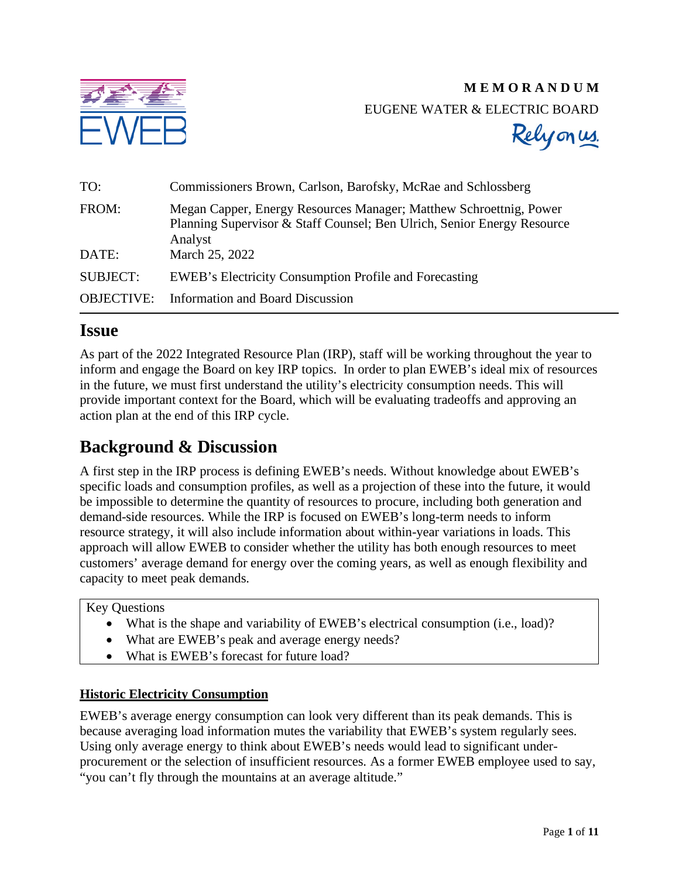

# **M E M O R A N D U M** EUGENE WATER & ELECTRIC BOARD



| TO:               | Commissioners Brown, Carlson, Barofsky, McRae and Schlossberg                                                                                            |
|-------------------|----------------------------------------------------------------------------------------------------------------------------------------------------------|
| FROM:             | Megan Capper, Energy Resources Manager; Matthew Schroettnig, Power<br>Planning Supervisor & Staff Counsel; Ben Ulrich, Senior Energy Resource<br>Analyst |
| DATE:             | March 25, 2022                                                                                                                                           |
| <b>SUBJECT:</b>   | EWEB's Electricity Consumption Profile and Forecasting                                                                                                   |
| <b>OBJECTIVE:</b> | <b>Information and Board Discussion</b>                                                                                                                  |

# **Issue**

As part of the 2022 Integrated Resource Plan (IRP), staff will be working throughout the year to inform and engage the Board on key IRP topics. In order to plan EWEB's ideal mix of resources in the future, we must first understand the utility's electricity consumption needs. This will provide important context for the Board, which will be evaluating tradeoffs and approving an action plan at the end of this IRP cycle.

# **Background & Discussion**

A first step in the IRP process is defining EWEB's needs. Without knowledge about EWEB's specific loads and consumption profiles, as well as a projection of these into the future, it would be impossible to determine the quantity of resources to procure, including both generation and demand-side resources. While the IRP is focused on EWEB's long-term needs to inform resource strategy, it will also include information about within-year variations in loads. This approach will allow EWEB to consider whether the utility has both enough resources to meet customers' average demand for energy over the coming years, as well as enough flexibility and capacity to meet peak demands.

#### Key Questions

- What is the shape and variability of EWEB's electrical consumption (i.e., load)?
- What are EWEB's peak and average energy needs?
- What is EWEB's forecast for future load?

# **Historic Electricity Consumption**

EWEB's average energy consumption can look very different than its peak demands. This is because averaging load information mutes the variability that EWEB's system regularly sees. Using only average energy to think about EWEB's needs would lead to significant underprocurement or the selection of insufficient resources. As a former EWEB employee used to say, "you can't fly through the mountains at an average altitude."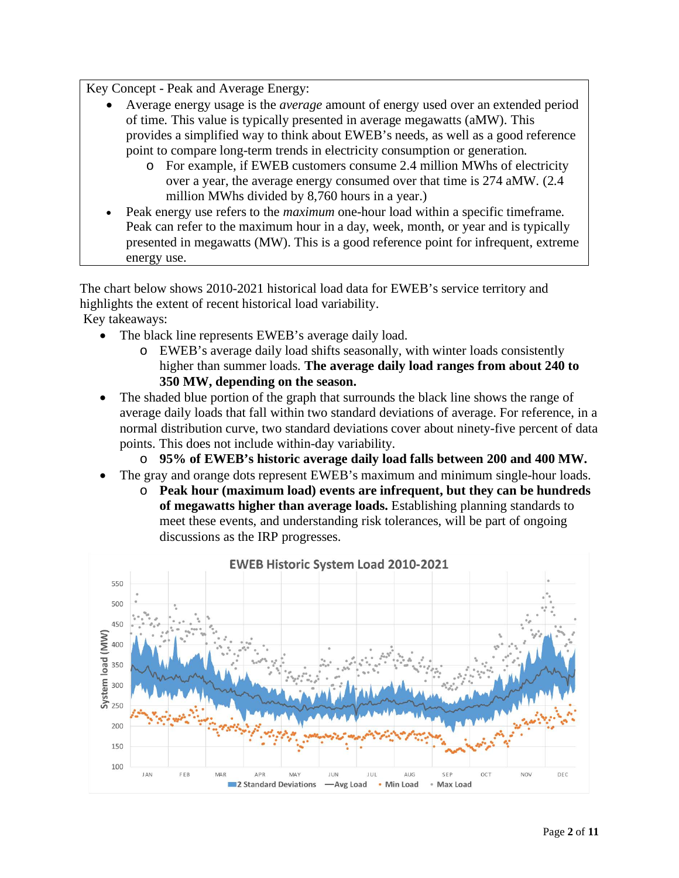Key Concept - Peak and Average Energy:

- Average energy usage is the *average* amount of energy used over an extended period of time. This value is typically presented in average megawatts (aMW). This provides a simplified way to think about EWEB's needs, as well as a good reference point to compare long-term trends in electricity consumption or generation.
	- o For example, if EWEB customers consume 2.4 million MWhs of electricity over a year, the average energy consumed over that time is 274 aMW. (2.4 million MWhs divided by 8,760 hours in a year.)
- Peak energy use refers to the *maximum* one-hour load within a specific timeframe. Peak can refer to the maximum hour in a day, week, month, or year and is typically presented in megawatts (MW). This is a good reference point for infrequent, extreme energy use.

The chart below shows 2010-2021 historical load data for EWEB's service territory and highlights the extent of recent historical load variability.

Key takeaways:

- The black line represents EWEB's average daily load.
	- o EWEB's average daily load shifts seasonally, with winter loads consistently higher than summer loads. **The average daily load ranges from about 240 to 350 MW, depending on the season.**
- The shaded blue portion of the graph that surrounds the black line shows the range of average daily loads that fall within two standard deviations of average. For reference, in a normal distribution curve, two standard deviations cover about ninety-five percent of data points. This does not include within-day variability.
	- o **95% of EWEB's historic average daily load falls between 200 and 400 MW.**
- The gray and orange dots represent EWEB's maximum and minimum single-hour loads.
	- o **Peak hour (maximum load) events are infrequent, but they can be hundreds of megawatts higher than average loads.** Establishing planning standards to meet these events, and understanding risk tolerances, will be part of ongoing discussions as the IRP progresses.

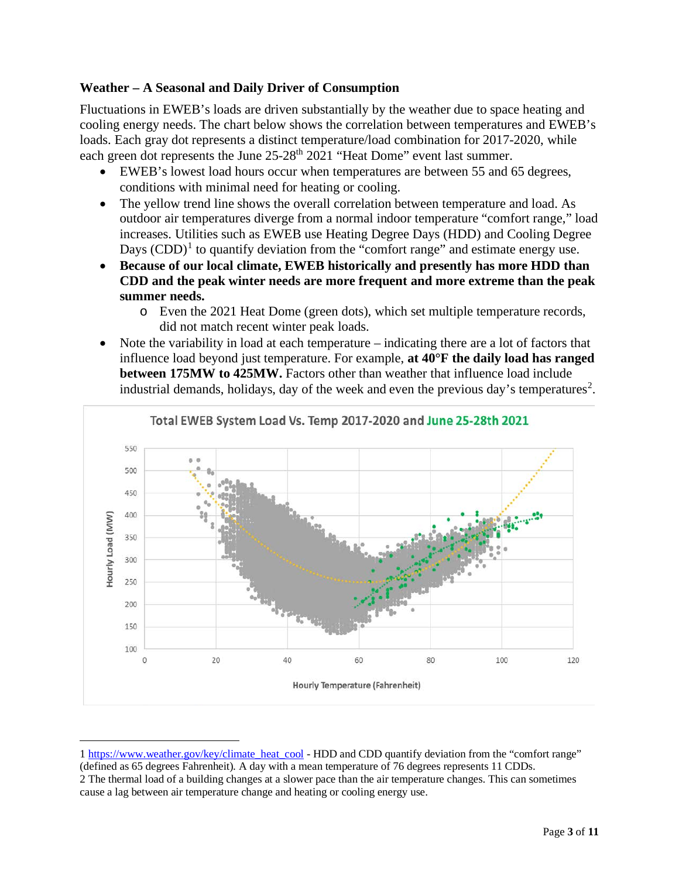# **Weather – A Seasonal and Daily Driver of Consumption**

Fluctuations in EWEB's loads are driven substantially by the weather due to space heating and cooling energy needs. The chart below shows the correlation between temperatures and EWEB's loads. Each gray dot represents a distinct temperature/load combination for 2017-2020, while each green dot represents the June 25-28<sup>th</sup> 2021 "Heat Dome" event last summer.

- EWEB's lowest load hours occur when temperatures are between 55 and 65 degrees, conditions with minimal need for heating or cooling.
- The yellow trend line shows the overall correlation between temperature and load. As outdoor air temperatures diverge from a normal indoor temperature "comfort range," load increases. Utilities such as EWEB use Heating Degree Days (HDD) and Cooling Degree Days  $(CDD)^1$  $(CDD)^1$  to quantify deviation from the "comfort range" and estimate energy use.
- **Because of our local climate, EWEB historically and presently has more HDD than CDD and the peak winter needs are more frequent and more extreme than the peak summer needs.**
	- o Even the 2021 Heat Dome (green dots), which set multiple temperature records, did not match recent winter peak loads.
- Note the variability in load at each temperature indicating there are a lot of factors that influence load beyond just temperature. For example, **at 40°F the daily load has ranged between 175MW to 425MW.** Factors other than weather that influence load include industrial demands, holidays, day of the week and even the previous day's temperatures<sup>[2](#page-2-1)</sup>.



<span id="page-2-1"></span><span id="page-2-0"></span><sup>1</sup> [https://www.weather.gov/key/climate\\_heat\\_cool](https://www.weather.gov/key/climate_heat_cool) - HDD and CDD quantify deviation from the "comfort range" (defined as 65 degrees Fahrenheit). A day with a mean temperature of 76 degrees represents 11 CDDs. 2 The thermal load of a building changes at a slower pace than the air temperature changes. This can sometimes cause a lag between air temperature change and heating or cooling energy use.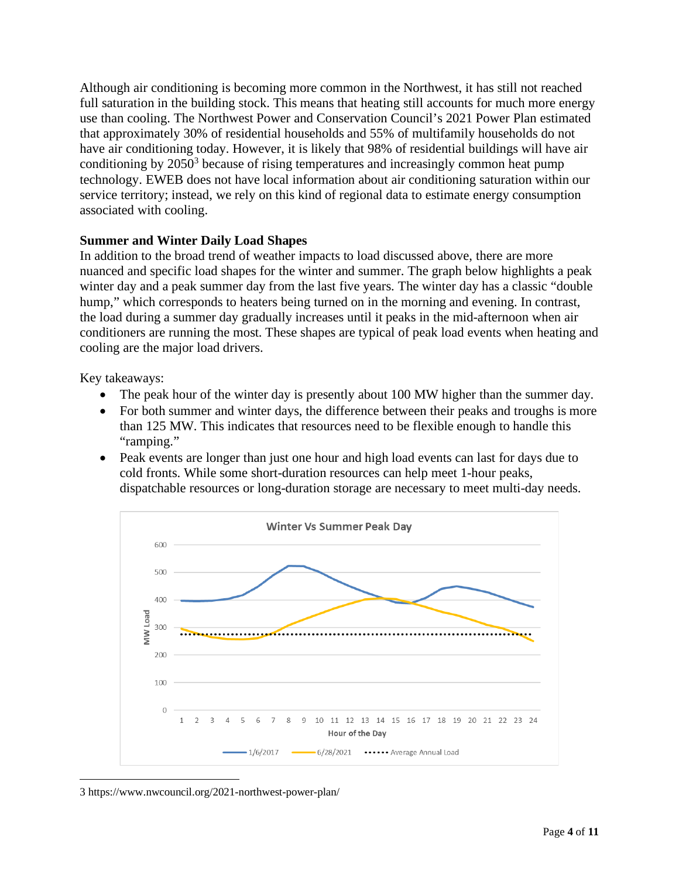Although air conditioning is becoming more common in the Northwest, it has still not reached full saturation in the building stock. This means that heating still accounts for much more energy use than cooling. The Northwest Power and Conservation Council's 2021 Power Plan estimated that approximately 30% of residential households and 55% of multifamily households do not have air conditioning today. However, it is likely that 98% of residential buildings will have air conditioning by  $2050<sup>3</sup>$  $2050<sup>3</sup>$  $2050<sup>3</sup>$  because of rising temperatures and increasingly common heat pump technology. EWEB does not have local information about air conditioning saturation within our service territory; instead, we rely on this kind of regional data to estimate energy consumption associated with cooling.

## **Summer and Winter Daily Load Shapes**

In addition to the broad trend of weather impacts to load discussed above, there are more nuanced and specific load shapes for the winter and summer. The graph below highlights a peak winter day and a peak summer day from the last five years. The winter day has a classic "double hump," which corresponds to heaters being turned on in the morning and evening. In contrast, the load during a summer day gradually increases until it peaks in the mid-afternoon when air conditioners are running the most. These shapes are typical of peak load events when heating and cooling are the major load drivers.

Key takeaways:

- The peak hour of the winter day is presently about 100 MW higher than the summer day.
- For both summer and winter days, the difference between their peaks and troughs is more than 125 MW. This indicates that resources need to be flexible enough to handle this "ramping."
- Peak events are longer than just one hour and high load events can last for days due to cold fronts. While some short-duration resources can help meet 1-hour peaks, dispatchable resources or long-duration storage are necessary to meet multi-day needs.



<span id="page-3-0"></span><sup>3</sup> https://www.nwcouncil.org/2021-northwest-power-plan/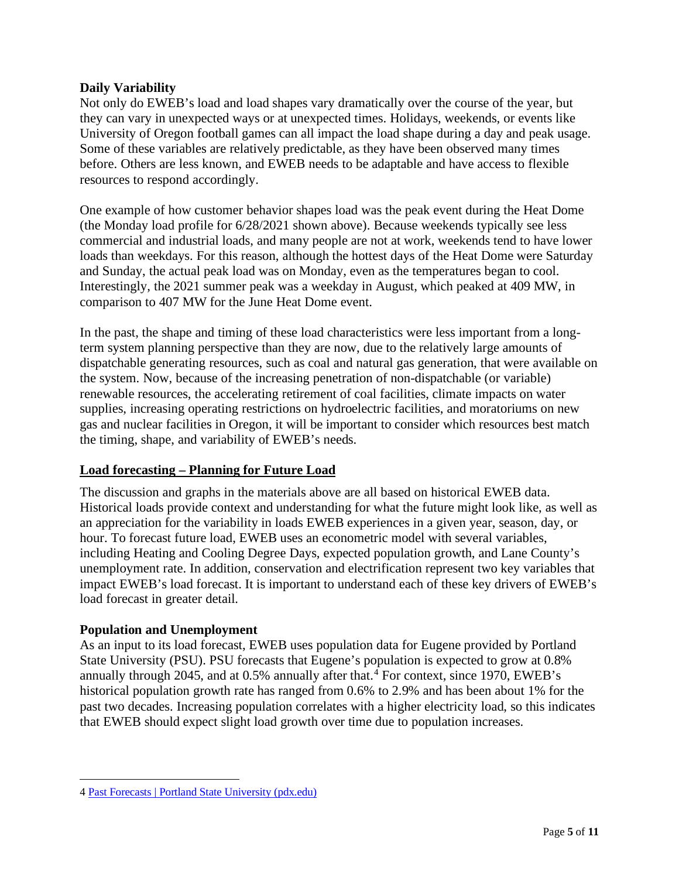### **Daily Variability**

Not only do EWEB's load and load shapes vary dramatically over the course of the year, but they can vary in unexpected ways or at unexpected times. Holidays, weekends, or events like University of Oregon football games can all impact the load shape during a day and peak usage. Some of these variables are relatively predictable, as they have been observed many times before. Others are less known, and EWEB needs to be adaptable and have access to flexible resources to respond accordingly.

One example of how customer behavior shapes load was the peak event during the Heat Dome (the Monday load profile for 6/28/2021 shown above). Because weekends typically see less commercial and industrial loads, and many people are not at work, weekends tend to have lower loads than weekdays. For this reason, although the hottest days of the Heat Dome were Saturday and Sunday, the actual peak load was on Monday, even as the temperatures began to cool. Interestingly, the 2021 summer peak was a weekday in August, which peaked at 409 MW, in comparison to 407 MW for the June Heat Dome event.

In the past, the shape and timing of these load characteristics were less important from a longterm system planning perspective than they are now, due to the relatively large amounts of dispatchable generating resources, such as coal and natural gas generation, that were available on the system. Now, because of the increasing penetration of non-dispatchable (or variable) renewable resources, the accelerating retirement of coal facilities, climate impacts on water supplies, increasing operating restrictions on hydroelectric facilities, and moratoriums on new gas and nuclear facilities in Oregon, it will be important to consider which resources best match the timing, shape, and variability of EWEB's needs.

#### **Load forecasting – Planning for Future Load**

The discussion and graphs in the materials above are all based on historical EWEB data. Historical loads provide context and understanding for what the future might look like, as well as an appreciation for the variability in loads EWEB experiences in a given year, season, day, or hour. To forecast future load, EWEB uses an econometric model with several variables, including Heating and Cooling Degree Days, expected population growth, and Lane County's unemployment rate. In addition, conservation and electrification represent two key variables that impact EWEB's load forecast. It is important to understand each of these key drivers of EWEB's load forecast in greater detail.

#### **Population and Unemployment**

As an input to its load forecast, EWEB uses population data for Eugene provided by Portland State University (PSU). PSU forecasts that Eugene's population is expected to grow at 0.8% annually through 20[4](#page-4-0)5, and at  $0.5\%$  annually after that.<sup>4</sup> For context, since 1970, EWEB's historical population growth rate has ranged from 0.6% to 2.9% and has been about 1% for the past two decades. Increasing population correlates with a higher electricity load, so this indicates that EWEB should expect slight load growth over time due to population increases.

<span id="page-4-0"></span><sup>4</sup> [Past Forecasts | Portland State University \(pdx.edu\)](https://www.pdx.edu/population-research/past-forecasts)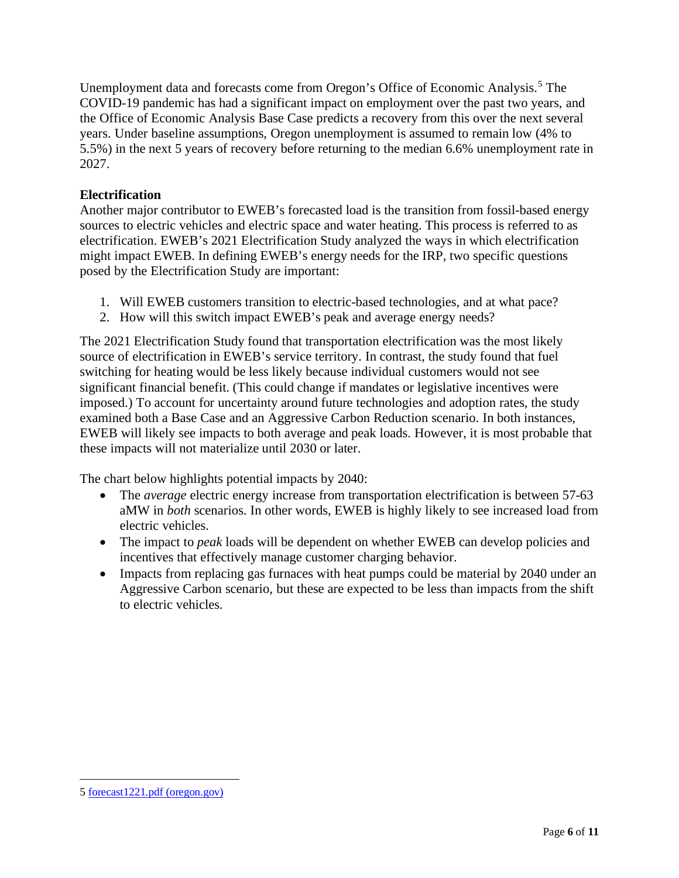Unemployment data and forecasts come from Oregon's Office of Economic Analysis.<sup>[5](#page-5-0)</sup> The COVID-19 pandemic has had a significant impact on employment over the past two years, and the Office of Economic Analysis Base Case predicts a recovery from this over the next several years. Under baseline assumptions, Oregon unemployment is assumed to remain low (4% to 5.5%) in the next 5 years of recovery before returning to the median 6.6% unemployment rate in 2027.

# **Electrification**

Another major contributor to EWEB's forecasted load is the transition from fossil-based energy sources to electric vehicles and electric space and water heating. This process is referred to as electrification. EWEB's 2021 Electrification Study analyzed the ways in which electrification might impact EWEB. In defining EWEB's energy needs for the IRP, two specific questions posed by the Electrification Study are important:

- 1. Will EWEB customers transition to electric-based technologies, and at what pace?
- 2. How will this switch impact EWEB's peak and average energy needs?

The 2021 Electrification Study found that transportation electrification was the most likely source of electrification in EWEB's service territory. In contrast, the study found that fuel switching for heating would be less likely because individual customers would not see significant financial benefit. (This could change if mandates or legislative incentives were imposed.) To account for uncertainty around future technologies and adoption rates, the study examined both a Base Case and an Aggressive Carbon Reduction scenario. In both instances, EWEB will likely see impacts to both average and peak loads. However, it is most probable that these impacts will not materialize until 2030 or later.

The chart below highlights potential impacts by 2040:

- The *average* electric energy increase from transportation electrification is between 57-63 aMW in *both* scenarios. In other words, EWEB is highly likely to see increased load from electric vehicles.
- The impact to *peak* loads will be dependent on whether EWEB can develop policies and incentives that effectively manage customer charging behavior.
- Impacts from replacing gas furnaces with heat pumps could be material by 2040 under an Aggressive Carbon scenario, but these are expected to be less than impacts from the shift to electric vehicles.

<span id="page-5-0"></span><sup>5</sup> [forecast1221.pdf \(oregon.gov\)](https://www.oregon.gov/das/OEA/Documents/forecast1221.pdf)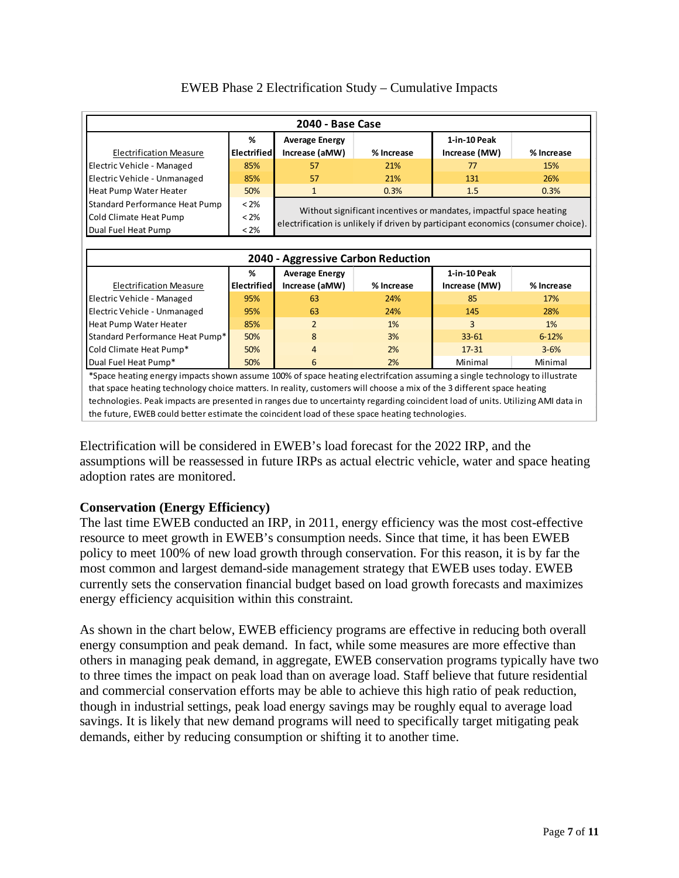| 2040 - Base Case                                                                                                           |                                                                                              |                                                                     |            |                               |            |  |  |  |  |
|----------------------------------------------------------------------------------------------------------------------------|----------------------------------------------------------------------------------------------|---------------------------------------------------------------------|------------|-------------------------------|------------|--|--|--|--|
| <b>Electrification Measure</b>                                                                                             | %<br><b>Electrified</b>                                                                      | <b>Average Energy</b><br>Increase (aMW)                             | % Increase | 1-in-10 Peak<br>Increase (MW) | % Increase |  |  |  |  |
| Electric Vehicle - Managed                                                                                                 | 85%                                                                                          | 57                                                                  | 21%        | 77                            | 15%        |  |  |  |  |
| Electric Vehicle - Unmanaged                                                                                               | 85%                                                                                          | 57                                                                  | 21%        | 131                           | 26%        |  |  |  |  |
| Heat Pump Water Heater                                                                                                     | 50%                                                                                          | $\mathbf{1}$                                                        | 0.3%       | 1.5                           | 0.3%       |  |  |  |  |
| Standard Performance Heat Pump                                                                                             | $< 2\%$                                                                                      |                                                                     |            |                               |            |  |  |  |  |
| Cold Climate Heat Pump                                                                                                     | $< 2\%$                                                                                      | Without significant incentives or mandates, impactful space heating |            |                               |            |  |  |  |  |
| Dual Fuel Heat Pump                                                                                                        | electrification is unlikely if driven by participant economics (consumer choice).<br>$< 2\%$ |                                                                     |            |                               |            |  |  |  |  |
|                                                                                                                            |                                                                                              |                                                                     |            |                               |            |  |  |  |  |
| 2040 - Aggressive Carbon Reduction                                                                                         |                                                                                              |                                                                     |            |                               |            |  |  |  |  |
|                                                                                                                            | %                                                                                            | <b>Average Energy</b>                                               |            | 1-in-10 Peak                  |            |  |  |  |  |
| <b>Electrification Measure</b>                                                                                             | <b>Electrified</b>                                                                           | Increase (aMW)                                                      | % Increase | Increase (MW)                 | % Increase |  |  |  |  |
| Electric Vehicle - Managed                                                                                                 | 95%                                                                                          | 63                                                                  | 24%        | 85                            | 17%        |  |  |  |  |
| Electric Vehicle - Unmanaged                                                                                               | 95%                                                                                          | 63                                                                  | 24%        | 145                           | 28%        |  |  |  |  |
| Heat Pump Water Heater                                                                                                     | 85%                                                                                          | $\overline{2}$                                                      | 1%         | 3                             | 1%         |  |  |  |  |
| Standard Performance Heat Pump*                                                                                            | 50%                                                                                          | 8                                                                   | 3%         | $33 - 61$                     | $6 - 12%$  |  |  |  |  |
| Cold Climate Heat Pump*                                                                                                    | 50%                                                                                          | 4                                                                   | 2%         | $17 - 31$                     | $3 - 6%$   |  |  |  |  |
| Dual Fuel Heat Pump*                                                                                                       | 50%                                                                                          | 6                                                                   | 2%         | Minimal                       | Minimal    |  |  |  |  |
| *Space heating energy impacts shown assume 100% of space heating electrifcation assuming a single technology to illustrate |                                                                                              |                                                                     |            |                               |            |  |  |  |  |
| that space heating technology choice matters. In reality, customers will choose a mix of the 3 different space heating     |                                                                                              |                                                                     |            |                               |            |  |  |  |  |

# EWEB Phase 2 Electrification Study – Cumulative Impacts

Electrification will be considered in EWEB's load forecast for the 2022 IRP, and the assumptions will be reassessed in future IRPs as actual electric vehicle, water and space heating the future, EWEB could better estimate the coincident load of these space heating technologies.

technologies. Peak impacts are presented in ranges due to uncertainty regarding coincident load of units. Utilizing AMI data in

# **Conservation (Energy Efficiency)**

adoption rates are monitored.

The last time EWEB conducted an IRP, in 2011, energy efficiency was the most cost-effective resource to meet growth in EWEB's consumption needs. Since that time, it has been EWEB policy to meet 100% of new load growth through conservation. For this reason, it is by far the most common and largest demand-side management strategy that EWEB uses today. EWEB currently sets the conservation financial budget based on load growth forecasts and maximizes energy efficiency acquisition within this constraint.

As shown in the chart below, EWEB efficiency programs are effective in reducing both overall energy consumption and peak demand. In fact, while some measures are more effective than others in managing peak demand, in aggregate, EWEB conservation programs typically have two to three times the impact on peak load than on average load. Staff believe that future residential and commercial conservation efforts may be able to achieve this high ratio of peak reduction, though in industrial settings, peak load energy savings may be roughly equal to average load savings. It is likely that new demand programs will need to specifically target mitigating peak demands, either by reducing consumption or shifting it to another time.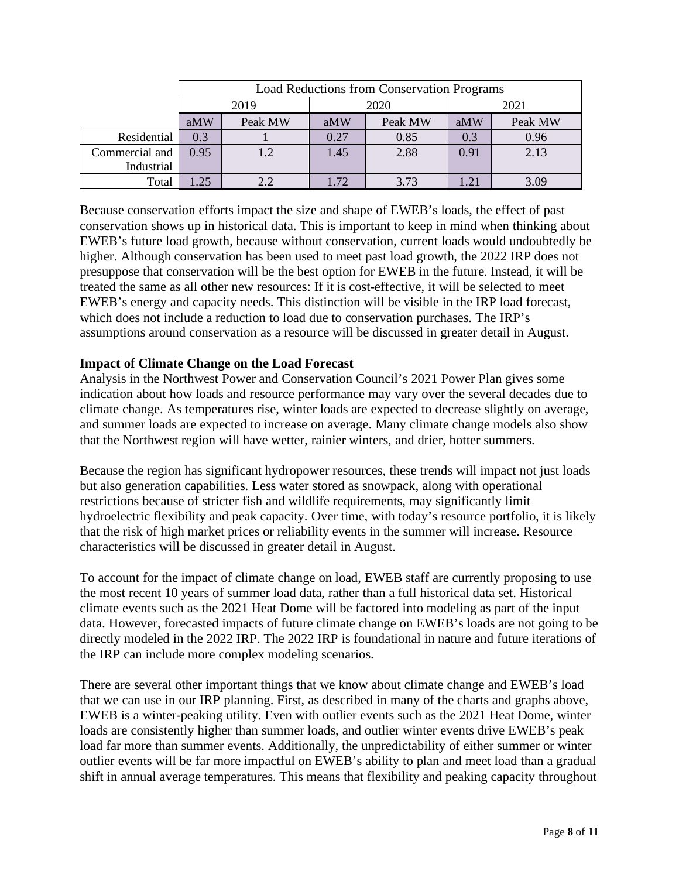|                | <b>Load Reductions from Conservation Programs</b> |         |      |         |      |         |  |  |
|----------------|---------------------------------------------------|---------|------|---------|------|---------|--|--|
|                |                                                   | 2019    |      | 2020    | 2021 |         |  |  |
|                | aMW                                               | Peak MW | aMW  | Peak MW | aMW  | Peak MW |  |  |
| Residential    | 0.3                                               |         | 0.27 | 0.85    | 0.3  | 0.96    |  |  |
| Commercial and | 0.95                                              | 1.2     | 1.45 | 2.88    | 0.91 | 2.13    |  |  |
| Industrial     |                                                   |         |      |         |      |         |  |  |
| Total          | .25                                               | 2.2     | 1.72 | 3.73    | 1.21 | 3.09    |  |  |

Because conservation efforts impact the size and shape of EWEB's loads, the effect of past conservation shows up in historical data. This is important to keep in mind when thinking about EWEB's future load growth, because without conservation, current loads would undoubtedly be higher. Although conservation has been used to meet past load growth, the 2022 IRP does not presuppose that conservation will be the best option for EWEB in the future. Instead, it will be treated the same as all other new resources: If it is cost-effective, it will be selected to meet EWEB's energy and capacity needs. This distinction will be visible in the IRP load forecast, which does not include a reduction to load due to conservation purchases. The IRP's assumptions around conservation as a resource will be discussed in greater detail in August.

## **Impact of Climate Change on the Load Forecast**

Analysis in the Northwest Power and Conservation Council's 2021 Power Plan gives some indication about how loads and resource performance may vary over the several decades due to climate change. As temperatures rise, winter loads are expected to decrease slightly on average, and summer loads are expected to increase on average. Many climate change models also show that the Northwest region will have wetter, rainier winters, and drier, hotter summers.

Because the region has significant hydropower resources, these trends will impact not just loads but also generation capabilities. Less water stored as snowpack, along with operational restrictions because of stricter fish and wildlife requirements, may significantly limit hydroelectric flexibility and peak capacity. Over time, with today's resource portfolio, it is likely that the risk of high market prices or reliability events in the summer will increase. Resource characteristics will be discussed in greater detail in August.

To account for the impact of climate change on load, EWEB staff are currently proposing to use the most recent 10 years of summer load data, rather than a full historical data set. Historical climate events such as the 2021 Heat Dome will be factored into modeling as part of the input data. However, forecasted impacts of future climate change on EWEB's loads are not going to be directly modeled in the 2022 IRP. The 2022 IRP is foundational in nature and future iterations of the IRP can include more complex modeling scenarios.

There are several other important things that we know about climate change and EWEB's load that we can use in our IRP planning. First, as described in many of the charts and graphs above, EWEB is a winter-peaking utility. Even with outlier events such as the 2021 Heat Dome, winter loads are consistently higher than summer loads, and outlier winter events drive EWEB's peak load far more than summer events. Additionally, the unpredictability of either summer or winter outlier events will be far more impactful on EWEB's ability to plan and meet load than a gradual shift in annual average temperatures. This means that flexibility and peaking capacity throughout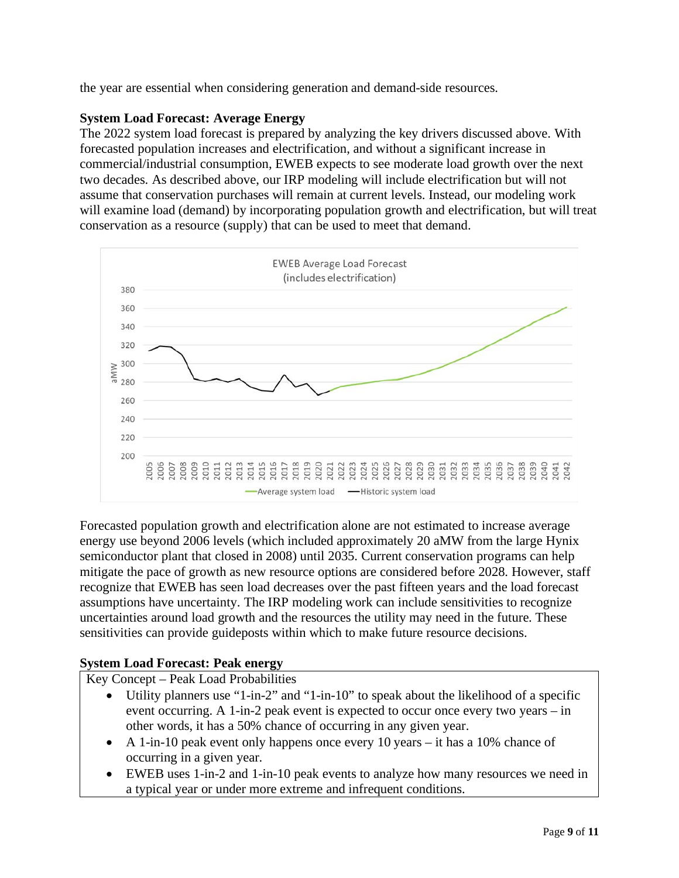the year are essential when considering generation and demand-side resources.

# **System Load Forecast: Average Energy**

The 2022 system load forecast is prepared by analyzing the key drivers discussed above. With forecasted population increases and electrification, and without a significant increase in commercial/industrial consumption, EWEB expects to see moderate load growth over the next two decades. As described above, our IRP modeling will include electrification but will not assume that conservation purchases will remain at current levels. Instead, our modeling work will examine load (demand) by incorporating population growth and electrification, but will treat conservation as a resource (supply) that can be used to meet that demand.



Forecasted population growth and electrification alone are not estimated to increase average energy use beyond 2006 levels (which included approximately 20 aMW from the large Hynix semiconductor plant that closed in 2008) until 2035. Current conservation programs can help mitigate the pace of growth as new resource options are considered before 2028. However, staff recognize that EWEB has seen load decreases over the past fifteen years and the load forecast assumptions have uncertainty. The IRP modeling work can include sensitivities to recognize uncertainties around load growth and the resources the utility may need in the future. These sensitivities can provide guideposts within which to make future resource decisions.

# **System Load Forecast: Peak energy**

Key Concept – Peak Load Probabilities

- Utility planners use "1-in-2" and "1-in-10" to speak about the likelihood of a specific event occurring. A 1-in-2 peak event is expected to occur once every two years – in other words, it has a 50% chance of occurring in any given year.
- A 1-in-10 peak event only happens once every 10 years it has a 10% chance of occurring in a given year.
- EWEB uses 1-in-2 and 1-in-10 peak events to analyze how many resources we need in a typical year or under more extreme and infrequent conditions.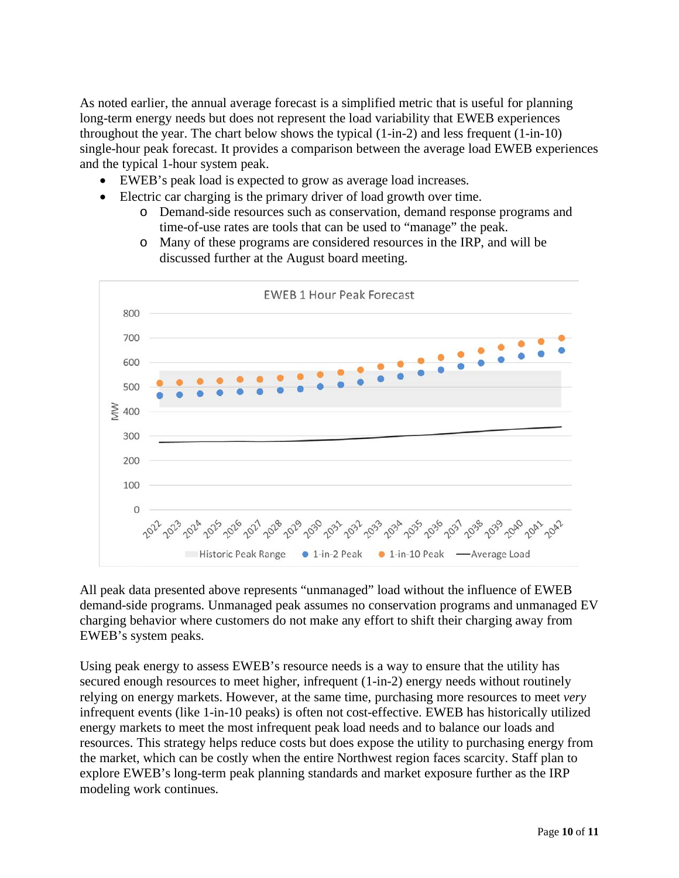As noted earlier, the annual average forecast is a simplified metric that is useful for planning long-term energy needs but does not represent the load variability that EWEB experiences throughout the year. The chart below shows the typical (1-in-2) and less frequent (1-in-10) single-hour peak forecast. It provides a comparison between the average load EWEB experiences and the typical 1-hour system peak.

- EWEB's peak load is expected to grow as average load increases.
- Electric car charging is the primary driver of load growth over time.
	- o Demand-side resources such as conservation, demand response programs and time-of-use rates are tools that can be used to "manage" the peak.
	- o Many of these programs are considered resources in the IRP, and will be discussed further at the August board meeting.



All peak data presented above represents "unmanaged" load without the influence of EWEB demand-side programs. Unmanaged peak assumes no conservation programs and unmanaged EV charging behavior where customers do not make any effort to shift their charging away from EWEB's system peaks.

Using peak energy to assess EWEB's resource needs is a way to ensure that the utility has secured enough resources to meet higher, infrequent (1-in-2) energy needs without routinely relying on energy markets. However, at the same time, purchasing more resources to meet *very* infrequent events (like 1-in-10 peaks) is often not cost-effective. EWEB has historically utilized energy markets to meet the most infrequent peak load needs and to balance our loads and resources. This strategy helps reduce costs but does expose the utility to purchasing energy from the market, which can be costly when the entire Northwest region faces scarcity. Staff plan to explore EWEB's long-term peak planning standards and market exposure further as the IRP modeling work continues.